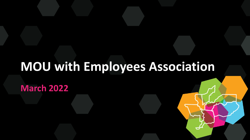#### **MOU with Employees Association**

**March 2022**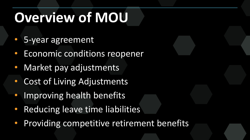## **Overview of MOU**

- 5-year agreement
- Economic conditions reopener
- Market pay adjustments
- Cost of Living Adjustments
- Improving health benefits
- Reducing leave time liabilities
- Providing competitive retirement benefits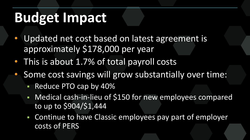### **Budget Impact**

- Updated net cost based on latest agreement is approximately \$178,000 per year
- This is about 1.7% of total payroll costs
- Some cost savings will grow substantially over time:
	- Reduce PTO cap by 40%
	- Medical cash-in-lieu of \$150 for new employees compared to up to \$904/\$1,444
	- Continue to have Classic employees pay part of employer costs of PERS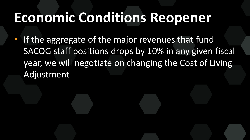#### **Economic Conditions Reopener**

• If the aggregate of the major revenues that fund SACOG staff positions drops by 10% in any given fiscal year, we will negotiate on changing the Cost of Living Adjustment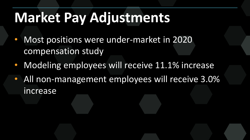### **Market Pay Adjustments**

- Most positions were under-market in 2020 compensation study
- Modeling employees will receive 11.1% increase
- All non-management employees will receive 3.0% increase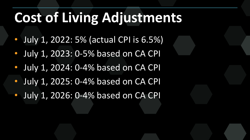### **Cost of Living Adjustments**

- July 1, 2022: 5% (actual CPI is 6.5%)
- July 1, 2023: 0-5% based on CA CPI
- July 1, 2024: 0-4% based on CA CPI
- July 1, 2025: 0-4% based on CA CPI
- July 1, 2026: 0-4% based on CA CPI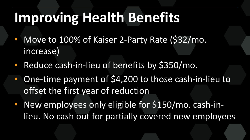### **Improving Health Benefits**

- Move to 100% of Kaiser 2-Party Rate (\$32/mo. increase)
- Reduce cash-in-lieu of benefits by \$350/mo.
- One-time payment of \$4,200 to those cash-in-lieu to offset the first year of reduction
- New employees only eligible for \$150/mo. cash-inlieu. No cash out for partially covered new employees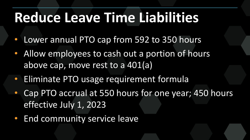### **Reduce Leave Time Liabilities**

- Lower annual PTO cap from 592 to 350 hours
- Allow employees to cash out a portion of hours above cap, move rest to a 401(a)
- Eliminate PTO usage requirement formula
- Cap PTO accrual at 550 hours for one year; 450 hours effective July 1, 2023
- End community service leave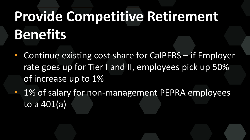# **Provide Competitive Retirement Benefits**

- Continue existing cost share for CalPERS if Employer rate goes up for Tier I and II, employees pick up 50% of increase up to 1%
- 1% of salary for non-management PEPRA employees to a 401(a)